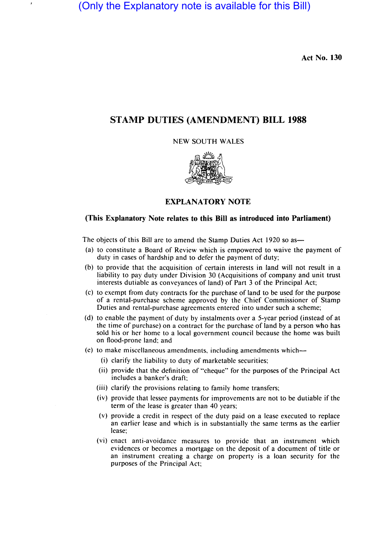(Only the Explanatory note is available for this Bill)

**Act No. 130** 

# **STAMP DUTIES (AMENDMENT) BILL 1988**

NEW SOUTH WALES



# **EXPLANATORY NOTE**

# **(This Explanatory Note relates to this Bill as introduced into Parliament)**

The objects of this Bill are to amend the Stamp Duties Act 1920 so as-

- (a) to constitute a Board of Review which is empowered to waive the payment of duty in cases of hardship and to defer the payment of duty;
- (b) to provide that the acquisition of certain interests in land will not result in a liability to pay duty under Division 30 (Acquisitions of company and unit trust interests dutiable as conveyances of land) of Part 3 of the Principal Act;
- (c) to exempt from duty contracts for the purchase of land to be used for the purpose of a rental-purchase scheme approved by the Chief Commissioner of Stamp Duties and rental-purchase agreements entered into under such a scheme;
- (d) to enable the payment of duty by instalments over a 5-year period (instead of at the time of purchase) on a contract for the purchase of land by a person who has sold his or her home to a local government council because the home was built on flood-prone land; and
- (e) to make miscellaneous amendments, including amendments which-
	- (i) clarify the liability to duty of marketable securities;
	- (ii) provide that the definition of "cheque" for the purposes of the Principal Act includes a banker's draft;
	- (iii) clarify the provisions relating to family home transfers;
	- (iv) provide that lessee payments for improvements are not to be dutiable if the term of the lease is greater than 40 years;
	- (v) provide a credit in respect of the duty paid on a lease executed to replace an earlier lease and which is in substantially the same terms as the earlier lease;
	- (vi) enact anti-avoidance measures to provide that an instrument which evidences or becomes a mortgage on the deposit of a document of title or an instrument creating a charge on property is a loan security for the purposes of the Principal Act;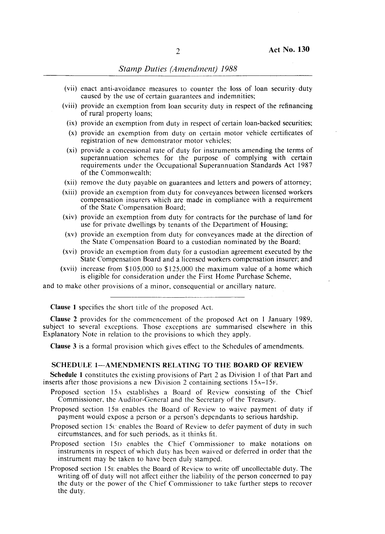- (vii) enact anti-avoidance measures to counter the loss of loan security duty caused by the use of certain guarantees and indemnities;
- (viii) provide an exemption from loan security duty in respect of the refinancing of rural property loans;
	- (ix) provide an exemption from duty in respect of certain loan-backed securities;
	- (x) provide an exemption from duty on certain motor vehicle certificates of registration of new demonstrator motor vehicles;
	- (xi) provide a concessional rate of duty for instruments amending the terms of superannuation schemes for the purpose of complying with certain requirements under the Occupational Superannuation Standards Act 1987 of the Commonwealth;
- (xii) remove the duty payable on guarantees and letters and powers of attorney;
- (xiii) provide an exemption from duty for conveyances between licensed workers compensation insurers which are made in compliance with a requirement of the State Compensation Board:
- (xiv) provide an exemption from duty for contracts for the purchase of land for use for private dwellings by tenants of the Department of Housing;
- (xv) provide an exemption from duty for conveyances made at the direction of the State Compensation Board to a custodian nominated by the Board;
- (xvi) provide an exemption from duty for a custodian agreement executed by the State Compensation Board and a licensed workers compensation insurer; and
- (xvii) increase from \$105,000 to \$125,000 the maximum value of a home which is eligible for consideration under the First Home Purchase Scheme,

and to make other provisions of a minor, consequential or ancillary nature.

Clause 1 specifies the short title of the proposed Act.

Clause 2 provides for the commencement of the proposed Act on I January 1989, subject to several exceptions. Those exceptions arc summarised elsewhere in this Explanatory Note in relation to the provisions to which they apply.

Clause 3 is a formal provision which gives effect to the Schedules of amendments.

#### SCHEDULE 1-AMENDMENTS RELATING TO THE BOARD OF REVIEW

Schedule I constitutes the existing provisions of Part 2 as Division I of that Part and inserts after those provisions a new Division 2 containing sections 15A-15F.

- Proposed section 15.4 establishes a Board of Review consisting of the Chief Commissioner, the Auditor-General and the Secretary of the Treasury.
- Proposed section 15B enables the Board of Review to waive payment of duty if payment would expose a person or a person's dependants to serious hardship.
- Proposed section 15c enables the Board of Review to defer payment of duty in such circumstances, and for such periods, as it thinks fit.
- Proposed section 15n enables the Chief Commissioner to make notations on instruments in respect of which duty has been waived or deferred in order that the instrument may be taken to have been duly stamped.
- Proposed section l5E enables the Board of Review to write off uncollectable duty. The writing off of duty will not affect either the liability of the person concerned to pay the duty or the power of the Chief Commissioner to take further steps to recover the duty.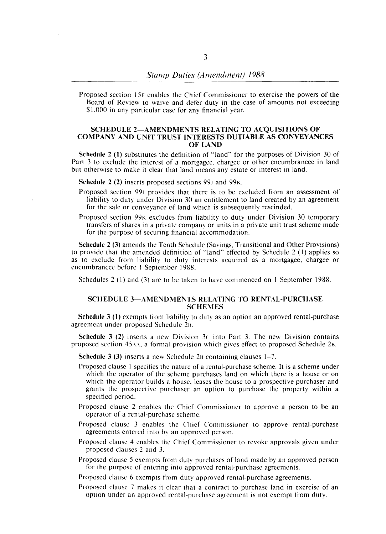Proposed section 15F enables the Chief Commissioner to exercise the powers of the Board of Review to waive and defer duty in the case of amounts not exceeding \$1,000 in any particular case for any financial year.

# SCHEDULE 2-AMENDMENTS RELATING TO ACQUISITIONS OF COMPANY AND UNIT TRUST INTERESTS DUTIABLE AS CONVEYANCES OF LAND

Schedule 2 (1) substitutes the definition of "land" for the purposes of Division 30 of Part 3 to exclude the interest of a mortgagee, chargee or other encumbrancee in land but otherwise to make it clear that land means any estate or interest in land.

Schedule 2 (2) inserts proposed sections 99J and 99K.

- Proposed section 991 provides that there is to be excluded from an assessment of liability to duty under Division 30 an entitlement to land created by an agreement for the sale or conveyance of land which is subsequently rescinded.
- Proposed section 99K excludes from liability to duty under Division 30 temporary transfers of shares in a private company or units in a private unit trust scheme made for the purpose of securing financial accommodation.

Schedule 2 (3) amends the Tenth Schedule (Savings, Transitional and Other Provisions) to provide that the amended definition of "land" effected by Schedule 2 (I) applies so as to exclude from liability to duty interests acquired as a mortgagee, chargee or encumbrancee before I September 1988.

Schedules 2 (1) and (3) are to be taken to have commenced on 1 September 1988.

# SCHEDULE 3-AMENDMENTS RELATING TO RENTAL-PURCHASE **SCHEMES**

Schedule 3 (I) exempts from liability to duty as an option an approved rental-purchase agreement under proposed Schedule 2B.

**Schedule 3 (2)** inserts a new Division 3c into Part 3. The new Division contains proposed section 45 $AA$ , a formal provision which gives effect to proposed Schedule 2B.

Schedule 3 (3) inserts a new Schedule 2B containing clauses 1-7.

- Proposed clause I specifies the nature of a rental-purchase scheme. It is a scheme under which the operator of the scheme purchases land on which there is a house or on which the operator builds a house, leases the house to a prospective purchaser and grants the prospective purchaser an option to purchase the property within a specified period.
- Proposed clause 2 enables the Chief Commissioner to approve a person to be an operator of a rental-purchase scheme.
- Proposed clause 3 enables the Chief Commissioner to approve rental-purchase agreements entered into by an approved person.
- Proposed clause 4 enables the Chief Commissioner to revoke approvals given under proposed clauses 2 and 3.
- Proposed clause 5 exempts from duty purchases of land made by an approved person for the purpose of entering into approved rental-purchase agreements.
- Proposed clause 6 exempts from duty approved rental-purchase agreements.
- Proposed clause 7 makes it clear that a contract to purchase land in exercise of an option under an approved rental-purchase agreement is not exempt from duty.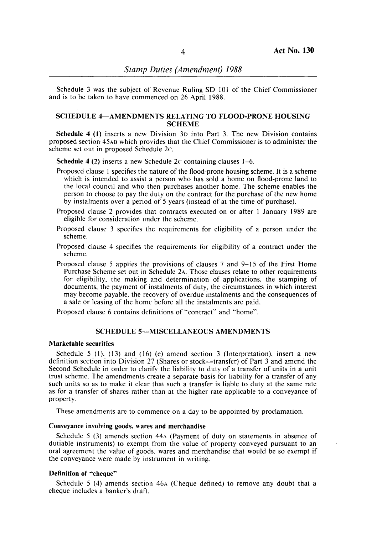Schedule 3 was the subject of Revenue Ruling SD 101 of the Chief Commissioner and is to be taken to have commenced on 26 April 1988.

## SCHEDULE 4-AMENDMENTS RELATING TO FLOOD-PRONE HOUSING **SCHEME**

Schedule 4 (1) inserts a new Division 3D into Part 3. The new Division contains proposed section 45AB which provides that the Chief Commissioner is to administer the scheme set out in proposed Schedule 2c.

Schedule 4 (2) inserts a new Schedule  $2c$  containing clauses 1–6.

- Proposed clause 1 specifies the nature of the flood-prone housing scheme. It is a scheme which is intended to assist a person who has sold a home on flood-prone land to the local council and who then purchases another home. The scheme enables the person to choose to pay the duty on the contract for the purchase of the new home by instalments over a period of 5 years (instead of at the time of purchase).
- Proposed clause 2 provides that contracts executed on or after 1 January 1989 are eligible for consideration under the scheme.
- Proposed clause 3 specifies the requirements for eligibility of a person under the scheme.
- Proposed clause 4 specifies the requirements for eligibility of a contract under the scheme.
- Proposed clause 5 applies the provisions of clauses 7 and 9-15 of the First Home Purchase Scheme set out in Schedule 2A. Those clauses relate to other requirements for eligibility, the making and determination of applications, the stamping of documents, the payment of instalments of duty, the circumstances in which interest may become payable. the recovery of overdue instalments and the consequences of a sale or leasing of the home before all the instalments are paid.

Proposed clause 6 contains definitions of "contract" and "home".

# SCHEDULE 5-MISCELLANEOUS AMENDMENTS

#### Marketable securities

Schedule 5 (1), (13) and (16) (e) amend section 3 (Interpretation), insert a new definition section into Division 27 (Shares or stock—transfer) of Part  $3$  and amend the Second Schedule in order to clarify the liability to duty of a transfer of units in a unit trust scheme. The amendments create a separate basis for liability for a transfer of any such units so as to make it clear that such a transfer is liable to duty at the same rate as for a transfer of shares rather than at the higher rate applicable to a conveyance of property.

These amendments are to commence on a day to be appointed by proclamation.

# Conveyance involving goods, wares and merchandise

Schedule 5 (3) amends section 44A (Payment of duty on statements in absence of dutiable instruments) to exempt from the value of property conveyed pursuant to an oral agreement the value of goods. wares and merchandise that would be so exempt if the conveyance were made by instrument in writing.

### Definition of "cheque"

Schedule 5 (4) amends section 46A (Cheque defined) to remove any doubt that a cheque includes a banker's draft.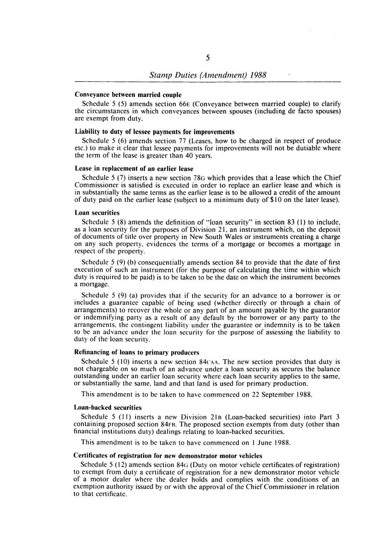#### Conveyance between married couple

Schedule 5 (5) amends section 66E (Conveyance between married couple) to clarify the circumstances in which conveyances between spouses (including de facto spouses) are exempt from duty.

# Liability to duty of lessee payments for improvements

Schedule 5 (6) amends section 77 (Leases, how to be charged in respect of produce etc.) to make it clear that lessee payments for improvements will not be dutiable where the term of the lease is greater than 40 years.

#### Lease in replacement of an earlier lease

Schedule 5 (7) inserts a new section 78G which provides that a lease which the Chief Commissioner is satisfied is executed in order to replace an earlier lease and which is in substantially the same terms as the earlier lease is to be allowed a credit of the amount of duty paid on the earlier lease (subject to a minimum duty of \$10 on the later lease).

#### Loan securities

Schedule 5 (8) amends the definition of "loan security" in section 83 (I) to include, as a loan security for the purposes of Division 21, an instrument which, on the deposit of documents of title over property in New South Wales or instruments creating a charge on any such property, evidences the terms of a mortgage or becomes a mortgage in respect of the property.

Schedule 5 (9) (b) consequentially amends section 84 to provide that the date of first execution of such an instrument (for the purpose of calculating the time within which duty is required to be paid) is to be taken to be the date on which the instrument becomes a mortgage.

Schedule 5 (9) (a) provides that if the security for an advance to a borrower is or includes a guarantee capable of being used (whether directly or through a chain of arrangements) to recover the whole or any part of an amount payable by the guarantor or indemnifying party as a result of any default by the borrower or any party to the arrangements, the contingent liability under the guarantee or indemnity is to be taken to be an advance under the loan security for the purpose of assessing the liability to duty of the loan security.

## Refinancing of loans to primary producers

Schedule 5 (10) inserts a new section 84 $CAA$ . The new section provides that duty is not chargeable on so much of an advance under a loan security as secures the balance outstanding under an earlier loan security where each loan security applies to the same, or substantially the same, land and that land is used for primary production.

This amendment is to be taken to have commenced on 22 September 1988.

#### Loan-backed securities

Schedule 5 (11) inserts a new Division 21B (Loan-backed securities) into Part 3 containing proposed section 84FB. The proposed section exempts from duty (other than financial institutions duty) dealings relating to loan-backed securities.

This amendment is to be taken to have commenced on I June 1988.

# Certificates of registration for new demonstrator motor vehicles

Schedule  $5(12)$  amends section 84 $G$  (Duty on motor vehicle certificates of registration) to exempt from duty a certificate of registration for a new demonstrator motor vehicle of a motor dealer where the dealer holds and complies with the conditions of an exemption authority issued by or with the approval of the Chief Commissioner in relation to that certificate.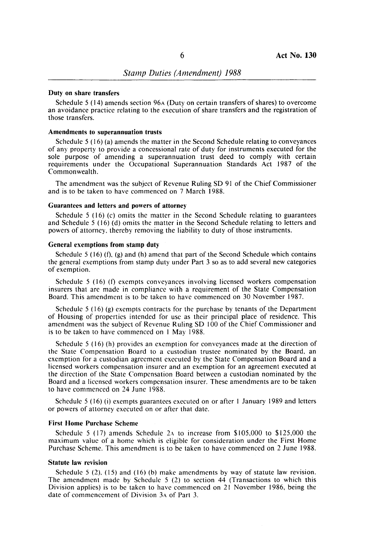# **Duty on share transfers**

Schedule 5 (14) amends section 96A (Duty on certain transfers of shares) to overcome an avoidance practice relating to the execution of share transfers and the registration of those transfers.

# **Amendments to superannuation trusts**

Schedule 5 (16) (a) amends the matter in the Second Schedule relating to conveyances of any property to provide a concessional rate of duty for instruments executed for the sole purpose of amending a superannuation trust deed to comply with certain requirements under the Occupational Superannuation Standards Act 1987 of the Commonwealth.

The amendment was the subject of Revenue Ruling SD 91 of the Chief Commissioner and is to be taken to have commenced on 7 March 1988.

### **Guarantees and letters and powers of attorney**

Schedule 5 (16) (c) omits the matter in the Second Schedule relating to guarantees and Schedule 5 (16) (d) omits the matter in the Second Schedule relating to letters and powers of attorney. thereby removing the liability to duty of those instruments.

# **General exemptions from stamp duty**

Schedule 5 (16) (f), (g) and (h) amend that part of the Second Schedule which contains the general exemptions from stamp duty under Part 3 so as to add several new categories of exemption.

Schedule 5 (16) (f) exempts conveyances involving licensed workers compensation insurers that are made in compliance with a requirement of the State Compensation Board. This amendment is to be taken to have commenced on 30 November 1987.

Schedule 5 (16) (g) exempts contracts for the purchase by tenants of the Department of Housing of properties intended for use as their principal place of residence. This amendment was the subject of Revenue Ruling SD 100 of the Chief Commissioner and is to be taken to have commenced on I May 1988.

Schedule 5 (16) (h) provides an exemption for conveyances made at the direction of the State Compensation Board to a custodian trustee nominated by the Board. an exemption for a custodian agreement executed by the State Compensation Board and a licensed workers compensation insurer and an exemption for an agreement executed at the direction of the State Compensation Board between a custodian nominated by the Board and a licensed workers compensation insurer. These amendments are to be taken to have commenced on 24 June 1988.

Schedule 5 (16) (i) exempts guarantees executed on or after 1 January 1989 and letters or powers of attorney executed on or after that date.

#### **First Home Purchase Scheme**

Schedule 5 (17) amends Schedule 2 $\lambda$  to increase from \$105,000 to \$125,000 the maximum value of a home which is eligible for consideration under the First Home Purchase Scheme. This amendment is to be taken to have commenced on 2 June 1988.

#### **Statute law revision**

Schedule 5 (2), (15) and (16) (b) make amendments by way of statute law revision. The amendment made by Schedule 5 (2) to section 44 (Transactions to which this Division applies) is to be taken to have commenced on 21 November 1986, being the date of commencement of Division 3A of Part 3.